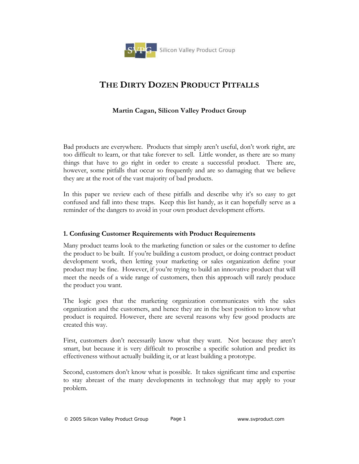

# **THE DIRTY DOZEN PRODUCT PITFALLS**

## **Martin Cagan, Silicon Valley Product Group**

Bad products are everywhere. Products that simply aren't useful, don't work right, are too difficult to learn, or that take forever to sell. Little wonder, as there are so many things that have to go right in order to create a successful product. There are, however, some pitfalls that occur so frequently and are so damaging that we believe they are at the root of the vast majority of bad products.

In this paper we review each of these pitfalls and describe why it's so easy to get confused and fall into these traps. Keep this list handy, as it can hopefully serve as a reminder of the dangers to avoid in your own product development efforts.

#### **1. Confusing Customer Requirements with Product Requirements**

Many product teams look to the marketing function or sales or the customer to define the product to be built. If you're building a custom product, or doing contract product development work, then letting your marketing or sales organization define your product may be fine. However, if you're trying to build an innovative product that will meet the needs of a wide range of customers, then this approach will rarely produce the product you want.

The logic goes that the marketing organization communicates with the sales organization and the customers, and hence they are in the best position to know what product is required. However, there are several reasons why few good products are created this way.

First, customers don't necessarily know what they want. Not because they aren't smart, but because it is very difficult to proscribe a specific solution and predict its effectiveness without actually building it, or at least building a prototype.

Second, customers don't know what is possible. It takes significant time and expertise to stay abreast of the many developments in technology that may apply to your problem.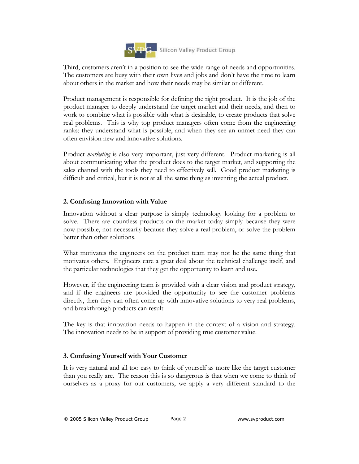

Third, customers aren't in a position to see the wide range of needs and opportunities. The customers are busy with their own lives and jobs and don't have the time to learn about others in the market and how their needs may be similar or different.

Product management is responsible for defining the right product. It is the job of the product manager to deeply understand the target market and their needs, and then to work to combine what is possible with what is desirable, to create products that solve real problems. This is why top product managers often come from the engineering ranks; they understand what is possible, and when they see an unmet need they can often envision new and innovative solutions.

Product *marketing* is also very important, just very different. Product marketing is all about communicating what the product does to the target market, and supporting the sales channel with the tools they need to effectively sell. Good product marketing is difficult and critical, but it is not at all the same thing as inventing the actual product.

## **2. Confusing Innovation with Value**

Innovation without a clear purpose is simply technology looking for a problem to solve. There are countless products on the market today simply because they were now possible, not necessarily because they solve a real problem, or solve the problem better than other solutions.

What motivates the engineers on the product team may not be the same thing that motivates others. Engineers care a great deal about the technical challenge itself, and the particular technologies that they get the opportunity to learn and use.

However, if the engineering team is provided with a clear vision and product strategy, and if the engineers are provided the opportunity to see the customer problems directly, then they can often come up with innovative solutions to very real problems, and breakthrough products can result.

The key is that innovation needs to happen in the context of a vision and strategy. The innovation needs to be in support of providing true customer value.

## **3. Confusing Yourself with Your Customer**

It is very natural and all too easy to think of yourself as more like the target customer than you really are. The reason this is so dangerous is that when we come to think of ourselves as a proxy for our customers, we apply a very different standard to the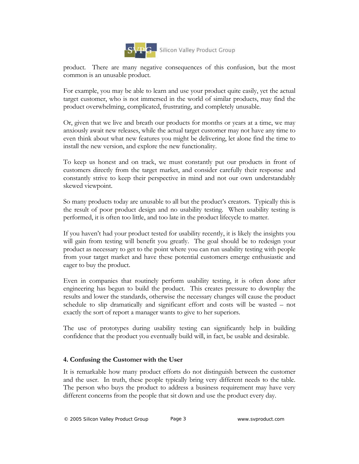

product. There are many negative consequences of this confusion, but the most common is an unusable product.

For example, you may be able to learn and use your product quite easily, yet the actual target customer, who is not immersed in the world of similar products, may find the product overwhelming, complicated, frustrating, and completely unusable.

Or, given that we live and breath our products for months or years at a time, we may anxiously await new releases, while the actual target customer may not have any time to even think about what new features you might be delivering, let alone find the time to install the new version, and explore the new functionality.

To keep us honest and on track, we must constantly put our products in front of customers directly from the target market, and consider carefully their response and constantly strive to keep their perspective in mind and not our own understandably skewed viewpoint.

So many products today are unusable to all but the product's creators. Typically this is the result of poor product design and no usability testing. When usability testing is performed, it is often too little, and too late in the product lifecycle to matter.

If you haven't had your product tested for usability recently, it is likely the insights you will gain from testing will benefit you greatly. The goal should be to redesign your product as necessary to get to the point where you can run usability testing with people from your target market and have these potential customers emerge enthusiastic and eager to buy the product.

Even in companies that routinely perform usability testing, it is often done after engineering has begun to build the product. This creates pressure to downplay the results and lower the standards, otherwise the necessary changes will cause the product schedule to slip dramatically and significant effort and costs will be wasted – not exactly the sort of report a manager wants to give to her superiors.

The use of prototypes during usability testing can significantly help in building confidence that the product you eventually build will, in fact, be usable and desirable.

#### **4. Confusing the Customer with the User**

It is remarkable how many product efforts do not distinguish between the customer and the user. In truth, these people typically bring very different needs to the table. The person who buys the product to address a business requirement may have very different concerns from the people that sit down and use the product every day.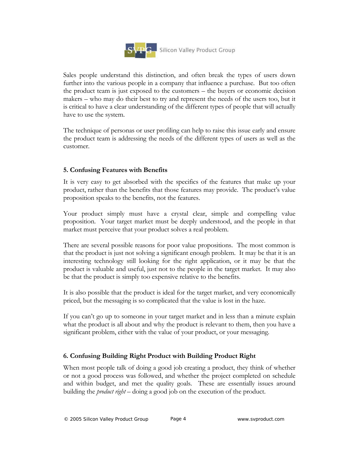

Sales people understand this distinction, and often break the types of users down further into the various people in a company that influence a purchase. But too often the product team is just exposed to the customers – the buyers or economic decision makers – who may do their best to try and represent the needs of the users too, but it is critical to have a clear understanding of the different types of people that will actually have to use the system.

The technique of personas or user profiling can help to raise this issue early and ensure the product team is addressing the needs of the different types of users as well as the customer.

## **5. Confusing Features with Benefits**

It is very easy to get absorbed with the specifics of the features that make up your product, rather than the benefits that those features may provide. The product's value proposition speaks to the benefits, not the features.

Your product simply must have a crystal clear, simple and compelling value proposition. Your target market must be deeply understood, and the people in that market must perceive that your product solves a real problem.

There are several possible reasons for poor value propositions. The most common is that the product is just not solving a significant enough problem. It may be that it is an interesting technology still looking for the right application, or it may be that the product is valuable and useful, just not to the people in the target market. It may also be that the product is simply too expensive relative to the benefits.

It is also possible that the product is ideal for the target market, and very economically priced, but the messaging is so complicated that the value is lost in the haze.

If you can't go up to someone in your target market and in less than a minute explain what the product is all about and why the product is relevant to them, then you have a significant problem, either with the value of your product, or your messaging.

## **6. Confusing Building Right Product with Building Product Right**

When most people talk of doing a good job creating a product, they think of whether or not a good process was followed, and whether the project completed on schedule and within budget, and met the quality goals. These are essentially issues around building the *product right* – doing a good job on the execution of the product.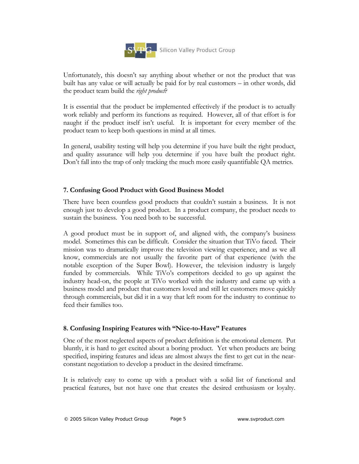

Unfortunately, this doesn't say anything about whether or not the product that was built has any value or will actually be paid for by real customers – in other words, did the product team build the *right product*?

It is essential that the product be implemented effectively if the product is to actually work reliably and perform its functions as required. However, all of that effort is for naught if the product itself isn't useful. It is important for every member of the product team to keep both questions in mind at all times.

In general, usability testing will help you determine if you have built the right product, and quality assurance will help you determine if you have built the product right. Don't fall into the trap of only tracking the much more easily quantifiable QA metrics.

## **7. Confusing Good Product with Good Business Model**

There have been countless good products that couldn't sustain a business. It is not enough just to develop a good product. In a product company, the product needs to sustain the business. You need both to be successful.

A good product must be in support of, and aligned with, the company's business model. Sometimes this can be difficult. Consider the situation that TiVo faced. Their mission was to dramatically improve the television viewing experience, and as we all know, commercials are not usually the favorite part of that experience (with the notable exception of the Super Bowl). However, the television industry is largely funded by commercials. While TiVo's competitors decided to go up against the industry head-on, the people at TiVo worked with the industry and came up with a business model and product that customers loved and still let customers move quickly through commercials, but did it in a way that left room for the industry to continue to feed their families too.

#### **8. Confusing Inspiring Features with "Nice-to-Have" Features**

One of the most neglected aspects of product definition is the emotional element. Put bluntly, it is hard to get excited about a boring product. Yet when products are being specified, inspiring features and ideas are almost always the first to get cut in the nearconstant negotiation to develop a product in the desired timeframe.

It is relatively easy to come up with a product with a solid list of functional and practical features, but not have one that creates the desired enthusiasm or loyalty.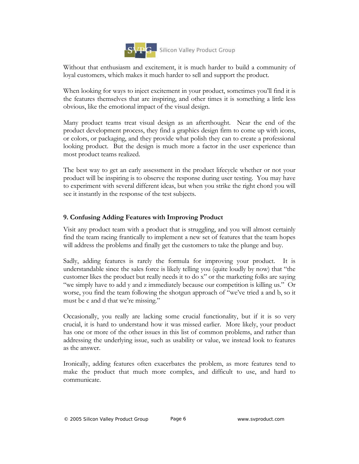

Without that enthusiasm and excitement, it is much harder to build a community of loyal customers, which makes it much harder to sell and support the product.

When looking for ways to inject excitement in your product, sometimes you'll find it is the features themselves that are inspiring, and other times it is something a little less obvious, like the emotional impact of the visual design.

Many product teams treat visual design as an afterthought. Near the end of the product development process, they find a graphics design firm to come up with icons, or colors, or packaging, and they provide what polish they can to create a professional looking product. But the design is much more a factor in the user experience than most product teams realized.

The best way to get an early assessment in the product lifecycle whether or not your product will be inspiring is to observe the response during user testing. You may have to experiment with several different ideas, but when you strike the right chord you will see it instantly in the response of the test subjects.

## **9. Confusing Adding Features with Improving Product**

Visit any product team with a product that is struggling, and you will almost certainly find the team racing frantically to implement a new set of features that the team hopes will address the problems and finally get the customers to take the plunge and buy.

Sadly, adding features is rarely the formula for improving your product. It is understandable since the sales force is likely telling you (quite loudly by now) that "the customer likes the product but really needs it to do x" or the marketing folks are saying "we simply have to add y and z immediately because our competition is killing us." Or worse, you find the team following the shotgun approach of "we've tried a and b, so it must be c and d that we're missing."

Occasionally, you really are lacking some crucial functionality, but if it is so very crucial, it is hard to understand how it was missed earlier. More likely, your product has one or more of the other issues in this list of common problems, and rather than addressing the underlying issue, such as usability or value, we instead look to features as the answer.

Ironically, adding features often exacerbates the problem, as more features tend to make the product that much more complex, and difficult to use, and hard to communicate.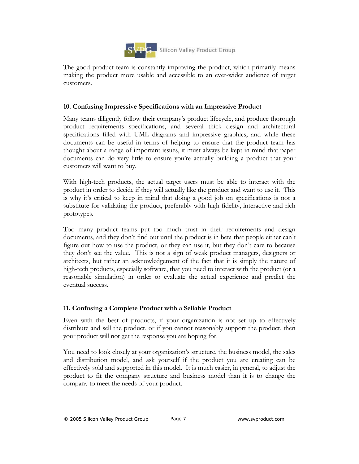

The good product team is constantly improving the product, which primarily means making the product more usable and accessible to an ever-wider audience of target customers.

#### **10. Confusing Impressive Specifications with an Impressive Product**

Many teams diligently follow their company's product lifecycle, and produce thorough product requirements specifications, and several thick design and architectural specifications filled with UML diagrams and impressive graphics, and while these documents can be useful in terms of helping to ensure that the product team has thought about a range of important issues, it must always be kept in mind that paper documents can do very little to ensure you're actually building a product that your customers will want to buy.

With high-tech products, the actual target users must be able to interact with the product in order to decide if they will actually like the product and want to use it. This is why it's critical to keep in mind that doing a good job on specifications is not a substitute for validating the product, preferably with high-fidelity, interactive and rich prototypes.

Too many product teams put too much trust in their requirements and design documents, and they don't find out until the product is in beta that people either can't figure out how to use the product, or they can use it, but they don't care to because they don't see the value. This is not a sign of weak product managers, designers or architects, but rather an acknowledgement of the fact that it is simply the nature of high-tech products, especially software, that you need to interact with the product (or a reasonable simulation) in order to evaluate the actual experience and predict the eventual success.

#### **11. Confusing a Complete Product with a Sellable Product**

Even with the best of products, if your organization is not set up to effectively distribute and sell the product, or if you cannot reasonably support the product, then your product will not get the response you are hoping for.

You need to look closely at your organization's structure, the business model, the sales and distribution model, and ask yourself if the product you are creating can be effectively sold and supported in this model. It is much easier, in general, to adjust the product to fit the company structure and business model than it is to change the company to meet the needs of your product.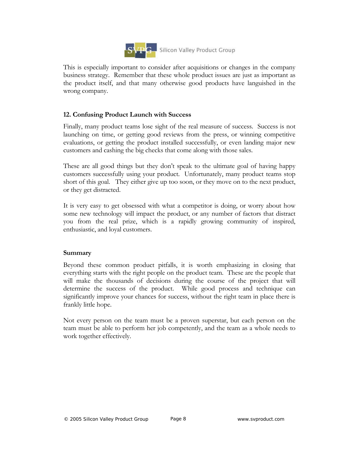

This is especially important to consider after acquisitions or changes in the company business strategy. Remember that these whole product issues are just as important as the product itself, and that many otherwise good products have languished in the wrong company.

## **12. Confusing Product Launch with Success**

Finally, many product teams lose sight of the real measure of success. Success is not launching on time, or getting good reviews from the press, or winning competitive evaluations, or getting the product installed successfully, or even landing major new customers and cashing the big checks that come along with those sales.

These are all good things but they don't speak to the ultimate goal of having happy customers successfully using your product. Unfortunately, many product teams stop short of this goal. They either give up too soon, or they move on to the next product, or they get distracted.

It is very easy to get obsessed with what a competitor is doing, or worry about how some new technology will impact the product, or any number of factors that distract you from the real prize, which is a rapidly growing community of inspired, enthusiastic, and loyal customers.

#### **Summary**

Beyond these common product pitfalls, it is worth emphasizing in closing that everything starts with the right people on the product team. These are the people that will make the thousands of decisions during the course of the project that will determine the success of the product. While good process and technique can significantly improve your chances for success, without the right team in place there is frankly little hope.

Not every person on the team must be a proven superstar, but each person on the team must be able to perform her job competently, and the team as a whole needs to work together effectively.